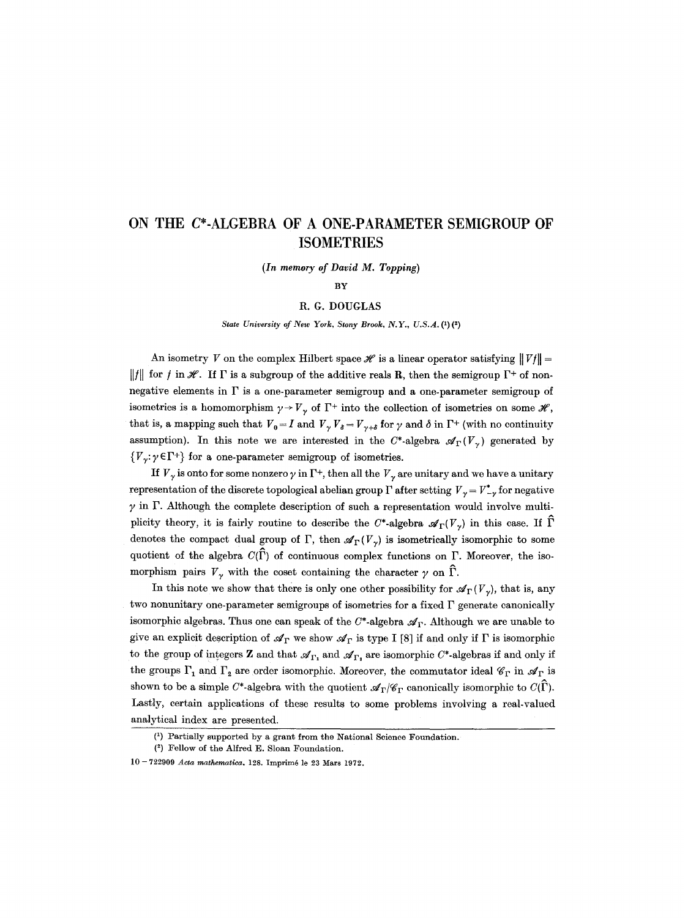## **ON THE C\*-ALGEBRA OF A ONE-PARAMETER SEMIGROUP OF ISOMETRIES**

*(In memory of David M. Topping)* 

**BY** 

## R. G. DOUGLAS

*State University of New York, Stony Brook, N.Y., U.S.A. (1)(2)* 

An isometry V on the complex Hilbert space  $\mathscr H$  is a linear operator satisfying  $||Vf|| =$  $||f||$  for f in  $\mathscr{H}$ . If  $\Gamma$  is a subgroup of the additive reals **R**, then the semigroup  $\Gamma^+$  of nonnegative elements in  $\Gamma$  is a one-parameter semigroup and a one-parameter semigroup of isometries is a homomorphism  $\gamma \rightarrow V_{\gamma}$  of  $\Gamma^{+}$  into the collection of isometries on some  $\mathscr{H}$ , that is, a mapping such that  $V_0 = I$  and  $V_\gamma V_\delta = V_{\gamma+\delta}$  for  $\gamma$  and  $\delta$  in  $\Gamma^+$  (with no continuity assumption). In this note we are interested in the C\*-algebra  $\mathscr{A}_{\Gamma}(V_{\gamma})$  generated by  ${V_{\gamma}}: \gamma \in \Gamma^+$  for a one-parameter semigroup of isometries.

If  $V_{\gamma}$  is onto for some nonzero  $\gamma$  in  $\Gamma^{+}$ , then all the  $V_{\gamma}$  are unitary and we have a unitary representation of the discrete topological abelian group  $\Gamma$  after setting  $V_{\gamma} = V_{-\gamma}^*$  for negative  $\gamma$  in  $\Gamma$ . Although the complete description of such a representation would involve multiplicity theory, it is fairly routine to describe the C\*-algebra  $\mathscr{A}_{\Gamma}(V_{\gamma})$  in this case. If  $\widehat{\Gamma}$ denotes the compact dual group of  $\Gamma$ , then  $\mathscr{A}_{\Gamma}(V_{\gamma})$  is isometrically isomorphic to some quotient of the algebra  $C(\hat{\Gamma})$  of continuous complex functions on  $\Gamma$ . Moreover, the isomorphism pairs  $V_{\gamma}$  with the coset containing the character  $\gamma$  on  $\hat{\Gamma}$ .

In this note we show that there is only one other possibility for  $\mathscr{A}_{\Gamma}(V_{\gamma})$ , that is, any two nonunitary one-parameter semigroups of isometries for a fixed  $\Gamma$  generate canonically isomorphic algebras. Thus one can speak of the  $C^*$ -algebra  $\mathscr{A}_{\Gamma}$ . Although we are unable to give an explicit description of  $\mathscr{A}_{\Gamma}$  we show  $\mathscr{A}_{\Gamma}$  is type I [8] if and only if  $\Gamma$  is isomorphic to the group of integers Z and that  $\mathcal{A}_{\Gamma_1}$  and  $\mathcal{A}_{\Gamma_2}$  are isomorphic  $C^*$ -algebras if and only if the groups  $\Gamma_1$  and  $\Gamma_2$  are order isomorphic. Moreover, the commutator ideal  $\mathscr{C}_{\Gamma}$  in  $\mathscr{A}_{\Gamma}$  is shown to be a simple C\*-algebra with the quotient  $\mathscr{A}_{\Gamma}/\mathscr{C}_{\Gamma}$  canonically isomorphic to  $C(\tilde{\Gamma})$ . Lastly, certain applications of these results to some problems involving a real-valued analytical index are presented.

<sup>(1)</sup> Partially supported by a grant from the National Science Foundation.

<sup>(2)</sup> Fellow of the Alfred E. Sloan Foundation.

**<sup>10 -</sup>** 722909 *Acta mathematica.* 128. Imprim6 le 23 Mars 1972.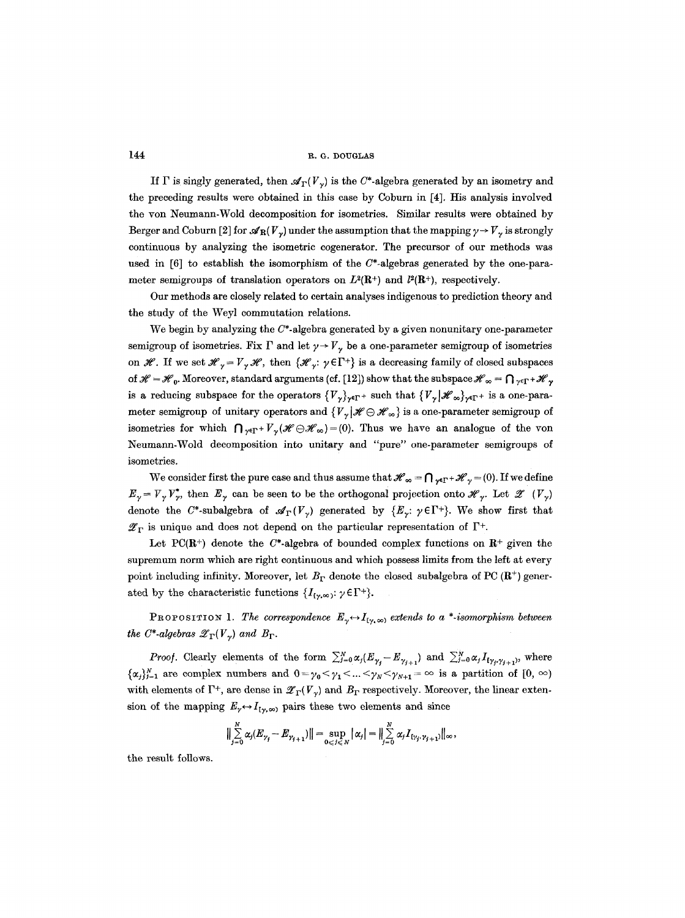If  $\Gamma$  is singly generated, then  $\mathscr{A}_{\Gamma}(V_{\gamma})$  is the C\*-algebra generated by an isometry and the preceding results were obtained in this ease by Coburn in [4]. His analysis involved the yon Neumann-Wold decomposition for isometries. Similar results were obtained by Berger and Coburn [2] for  $\mathscr{A}_{\mathbb{R}}(V_{\gamma})$  under the assumption that the mapping  $\gamma \to V_{\gamma}$  is strongly continuous by analyzing the isometric cogenerator. The precursor of our methods was used in  $[6]$  to establish the isomorphism of the  $C^*$ -algebras generated by the one-parameter semigroups of translation operators on  $L^2(\mathbb{R}^+)$  and  $l^2(\mathbb{R}^+)$ , respectively.

Our methods are closely related to certain analyses indigenous to prediction theory and the study of the Weyl commutation relations.

We begin by analyzing the  $C^*$ -algebra generated by a given nonunitary one-parameter semigroup of isometries. Fix  $\Gamma$  and let  $\gamma \rightarrow V_{\gamma}$  be a one-parameter semigroup of isometries on  $\mathscr{H}$ . If we set  $\mathscr{H}_{\gamma} = V_{\gamma} \mathscr{H}$ , then  $\{\mathscr{H}_{\gamma}: \gamma \in \Gamma^+\}$  is a decreasing family of closed subspaces of  $\mathscr{H} = \mathscr{H}_0$ . Moreover, standard arguments (cf. [12]) show that the subspace  $\mathscr{H}_{\infty} = \bigcap_{\gamma \in \Gamma} + \mathscr{H}_{\gamma}$ is a reducing subspace for the operators  ${V_{\gamma}}_{\gamma}\gamma$ -r+ such that  ${V_{\gamma}}{\mathcal{H}}_{\infty}$ ,  $_{\gamma}\epsilon_{\Gamma}$ + is a one-parameter semigroup of unitary operators and  $\{V_{\gamma} | \mathcal{H} \ominus \mathcal{H}_{\infty}\}\$ is a one-parameter semigroup of isometries for which  $\bigcap_{\gamma \in \Gamma} V_{\gamma}(\mathscr{H} \ominus \mathscr{H}_{\infty})=(0)$ . Thus we have an analogue of the yon Neumann-Wold decomposition into unitary and "pure" one-parameter semigroups of isometrics.

We consider first the pure case and thus assume that  $\mathscr{H}_{\infty} = \bigcap_{\gamma \in \Gamma} \mathscr{H}_{\gamma} = (0)$ . If we define  $E_{\gamma} = V_{\gamma} V_{\gamma}^{*}$ , then  $E_{\gamma}$  can be seen to be the orthogonal projection onto  $\mathscr{H}_{\gamma}$ . Let  $\mathscr{Z}(V_{\gamma})$ denote the C\*-subalgebra of  $\mathscr{A}_{\Gamma}(V_{\gamma})$  generated by  $\{E_{\gamma}: \gamma \in \Gamma^+\}$ . We show first that  $\mathscr{Z}_{\Gamma}$  is unique and does not depend on the particular representation of  $\Gamma^{+}$ .

Let PC(R<sup>+</sup>) denote the C<sup>\*</sup>-algebra of bounded complex functions on R<sup>+</sup> given the supremum norm which are right continuous and which possess limits from the left at every point including infinity. Moreover, let  $B_{\Gamma}$  denote the closed subalgebra of PC ( $\mathbb{R}^{+}$ ) generated by the characteristic functions  $\{I_{\{y,\infty\}}: y \in \Gamma^+\}.$ 

PROPOSITION 1. The correspondence  $E_{\gamma} \leftrightarrow I_{\gamma} \rightarrow$  extends to a \*-isomorphism between *the C\*-algebras*  $\mathscr{Z}_{\Gamma}(V_{\gamma})$  *and*  $B_{\Gamma}$ *.* 

*Proof.* Clearly elements of the form  $\sum_{j=0}^{N} \alpha_j (E_{\gamma_j} - E_{\gamma_{j+1}})$  and  $\sum_{j=0}^{N} \alpha_j I_{\{\gamma_j, \gamma_{j+1}\}}$ , where  ${x_j}_{j=1}^N$  are complex numbers and  $0=\gamma_0<\gamma_1<...<\gamma_N<\gamma_{N+1}=\infty$  is a partition of  $[0, \infty)$ with elements of  $\Gamma^+$ , are dense in  $\mathscr{L}_{\Gamma}(V_{\nu})$  and  $B_{\Gamma}$  respectively. Moreover, the linear extension of the mapping  $E_{\gamma} \leftrightarrow I_{\gamma,\infty}$  pairs these two elements and since

$$
\Big\|\sum_{j=0}^N \alpha_j (E_{\gamma_j}-E_{\gamma_{j+1}})\Big\|=\sup_{0\leqslant j\leqslant N}|\alpha_j|=\Big\|\sum_{j=0}^N \alpha_j I_{\{\gamma_j,\gamma_{j+1}\}}\Big\|_{\infty},
$$

the result follows.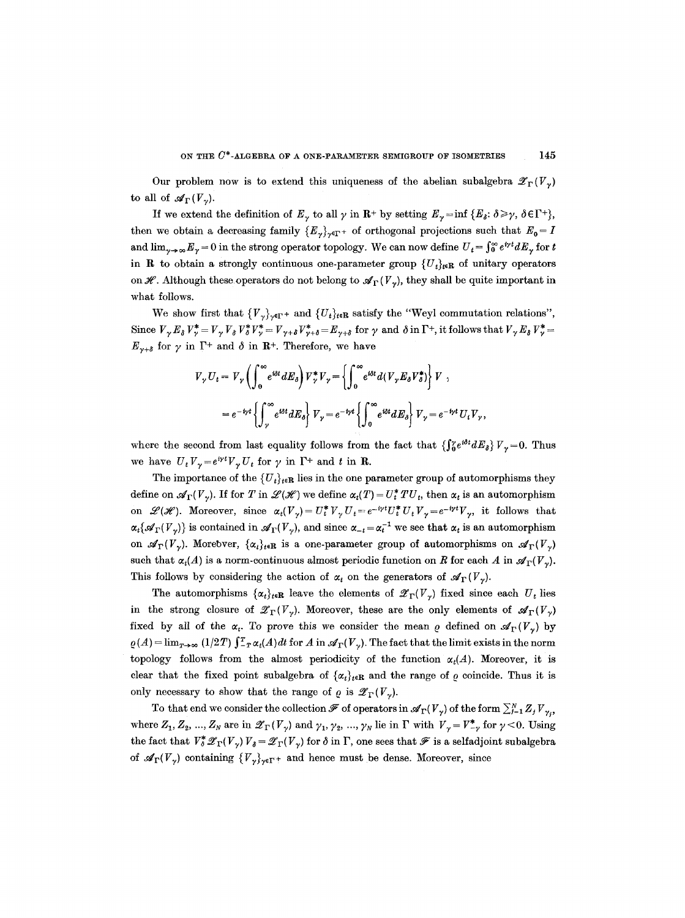Our problem now is to extend this uniqueness of the abelian subalgebra  $\mathscr{Z}_{\Gamma}(V_{\gamma})$ to all of  $\mathscr{A}_{\Gamma}(V_{\gamma}).$ 

If we extend the definition of  $E_{\gamma}$  to all  $\gamma$  in  $\mathbb{R}^{+}$  by setting  $E_{\gamma} = \inf \{ E_{\delta}: \delta \geq \gamma, \delta \in \Gamma^{+} \},$ then we obtain a decreasing family  ${E_{\gamma}}_{\gamma \in \Gamma^+}$  of orthogonal projections such that  $E_0 = I$ and  $\lim_{\gamma\to\infty}E_\gamma = 0$  in the strong operator topology. We can now define  $U_t = \int_0^\infty e^{iyt} dE_\gamma$  for t in **R** to obtain a strongly continuous one-parameter group  $\{U_t\}_{t\in\mathbb{R}}$  of unitary operators on  $\mathscr{H}$ . Although these operators do not belong to  $\mathscr{A}_{\Gamma}(V_{\nu})$ , they shall be quite important in what follows.

We show first that  $\{V_{\nu}\}_{\nu\in\Gamma}$  and  $\{U_{t}\}_{t\in\mathbf{R}}$  satisfy the "Weyl commutation relations", Since  $V_{\gamma}E_{\delta}V_{\gamma}^* = V_{\gamma}V_{\delta}V_{\delta}^*V_{\gamma}^* = V_{\gamma+\delta}V_{\gamma+\delta}^* = E_{\gamma+\delta}$  for  $\gamma$  and  $\delta$  in  $\Gamma^+$ , it follows that  $V_{\gamma}E_{\delta}V_{\gamma}^* =$  $E_{\gamma+\delta}$  for  $\gamma$  in  $\Gamma^+$  and  $\delta$  in  $\mathbb{R}^+$ . Therefore, we have

$$
V_{\gamma} U_{t} = V_{\gamma} \left( \int_{0}^{\infty} e^{i\delta t} dE_{\delta} \right) V_{\gamma}^{*} V_{\gamma} = \left\{ \int_{0}^{\infty} e^{i\delta t} d(V_{\gamma} E_{\delta} V_{\delta}^{*}) \right\} V ,
$$
  
=  $e^{-i\gamma t} \left\{ \int_{\gamma}^{\infty} e^{i\delta t} dE_{\delta} \right\} V_{\gamma} = e^{-i\gamma t} \left\{ \int_{0}^{\infty} e^{i\delta t} dE_{\delta} \right\} V_{\gamma} = e^{-i\gamma t} U_{t} V_{\gamma} ,$ 

where the second from last equality follows from the fact that  $\{\int_{0}^{\infty}e^{i\delta t}dE_{\delta}\}V_{\gamma}=0$ . Thus we have  $U_t V_\gamma = e^{i \gamma t} V_\gamma U_t$  for  $\gamma$  in  $\Gamma^+$  and t in R.

The importance of the  ${U_t}_{t\in\mathbf{R}}$  lies in the one parameter group of automorphisms they define on  $\mathscr{A}_{\Gamma}(V_{\gamma})$ . If for T in  $\mathscr{L}(\mathscr{H})$  we define  $\alpha_t(T) = U_t^* T U_t$ , then  $\alpha_t$  is an automorphism on  $\mathscr{L}(\mathscr{H})$ . Moreover, since  $\alpha_t(V_\gamma) = U_t^* V_\gamma U_t = e^{-i\gamma t} U_t^* U_t V_\gamma = e^{-i\gamma t} V_\gamma$ , it follows that  $\alpha_t\{\mathscr{A}_{\Gamma}(V_{\gamma})\}$  is contained in  $\mathscr{A}_{\Gamma}(V_{\gamma})$ , and since  $\alpha_{-t} = \alpha_t^{-1}$  we see that  $\alpha_t$  is an automorphism on  $\mathscr{A}_{\Gamma}(V_{\gamma})$ . Morebver,  $\{\alpha_i\}_{i\in \mathbb{R}}$  is a one-parameter group of automorphisms on  $\mathscr{A}_{\Gamma}(V_{\gamma})$ such that  $\alpha_t(A)$  is a norm-continuous almost periodic function on R for each A in  $\mathscr{A}_{\Gamma}(V_{\gamma})$ . This follows by considering the action of  $\alpha_t$  on the generators of  $\mathscr{A}_{\Gamma}(V_{\gamma})$ .

The automorphisms  $\{\alpha_t\}_{t\in\mathbb{R}}$  leave the elements of  $\mathscr{Z}_{\Gamma}(V_{\gamma})$  fixed since each  $U_t$  lies in the strong closure of  $\mathscr{Z}_{\Gamma}(V_{\gamma})$ . Moreover, these are the only elements of  $\mathscr{A}_{\Gamma}(V_{\gamma})$ fixed by all of the  $\alpha_r$ . To prove this we consider the mean  $\rho$  defined on  $\mathscr{A}_{\Gamma}(V_{\gamma})$  by  $\rho(A) = \lim_{T\to\infty} (1/2T) \int_{-T}^{T} \alpha_t(A) dt$  for A in  $\mathscr{A}_{\Gamma}(V_\gamma)$ . The fact that the limit exists in the norm topology follows from the almost periodicity of the function  $\alpha_t(A)$ . Moreover, it is clear that the fixed point subalgebra of  $\{\alpha_t\}_{t\in\mathbf{R}}$  and the range of  $\rho$  coincide. Thus it is only necessary to show that the range of  $\rho$  is  $\mathscr{Z}_{\Gamma}(V_{\nu}).$ 

To that end we consider the collection  $\mathscr{F}$  of operators in  $\mathscr{A}_{\Gamma}(V_{\gamma})$  of the form  $\sum_{j=1}^{N} Z_j V_{\gamma_j}$ , where  $Z_1, Z_2, ..., Z_N$  are in  $\mathscr{Z}_{\Gamma}(V_{\gamma})$  and  $\gamma_1, \gamma_2, ..., \gamma_N$  lie in  $\Gamma$  with  $V_{\gamma} = V^*_{-\gamma}$  for  $\gamma < 0$ . Using the fact that  $V^*_{\delta} \mathscr{Z}_{\Gamma}(V_{\gamma}) V_{\delta} = \mathscr{Z}_{\Gamma}(V_{\gamma})$  for  $\delta$  in  $\Gamma$ , one sees that  $\mathscr{F}$  is a selfadjoint subalgebra of  $\mathscr{A}_{\Gamma}(V_{\gamma})$  containing  $\{V_{\gamma}\}_{\gamma\in\Gamma^{+}}$  and hence must be dense. Moreover, since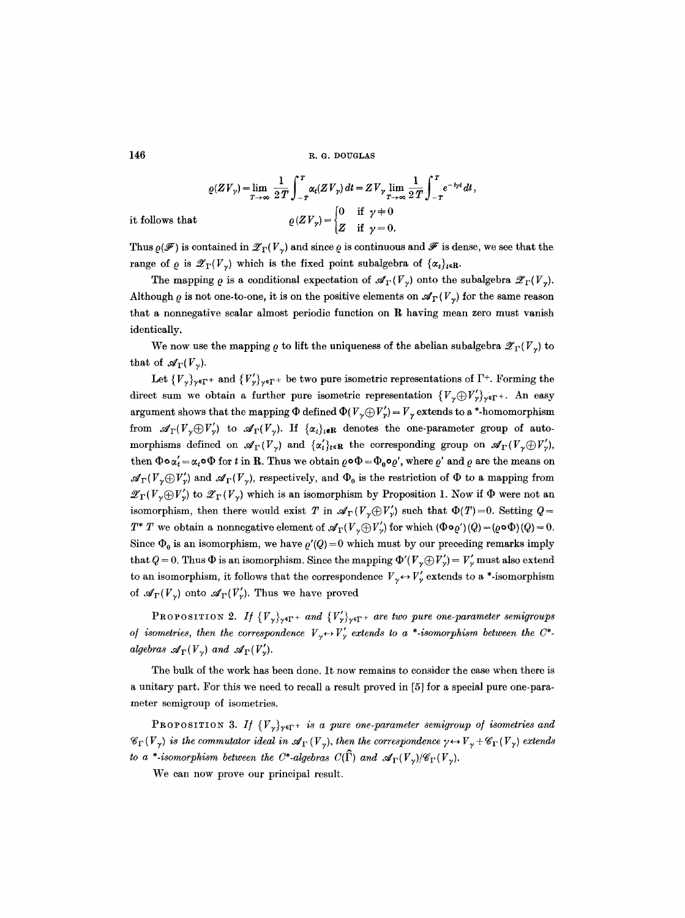$$
\varrho(ZV_{\gamma}) = \lim_{T \to \infty} \frac{1}{2T} \int_{-T}^{T} \alpha_{t}(ZV_{\gamma}) dt = ZV_{\gamma} \lim_{T \to \infty} \frac{1}{2T} \int_{-T}^{T} e^{-i\gamma t} dt,
$$

$$
\varrho(ZV_{\gamma}) = \begin{cases} 0 & \text{if } \gamma \neq 0 \\ Z & \text{if } \gamma = 0. \end{cases}
$$

it follows that

Thus  $\rho(\mathscr{F})$  is contained in  $\mathscr{Z}_{\Gamma}(V_{\gamma})$  and since  $\rho$  is continuous and  $\mathscr{F}$  is dense, we see that the range of  $\rho$  is  $\mathscr{Z}_{\Gamma}(V_{\nu})$  which is the fixed point subalgebra of  $\{\alpha_t\}_{t\in\mathbf{R}}$ .

The mapping  $\rho$  is a conditional expectation of  $\mathscr{A}_{\Gamma}(V_{\gamma})$  onto the subalgebra  $\mathscr{Z}_{\Gamma}(V_{\gamma})$ . Although  $\rho$  is not one-to-one, it is on the positive elements on  $\mathscr{A}_{\Gamma}(V_{\gamma})$  for the same reason that a nonnegative scalar almost periodic function on R having mean zero must vanish identically.

We now use the mapping  $\rho$  to lift the uniqueness of the abelian subalgebra  $\mathscr{Z}_{\Gamma}(V_{\nu})$  to that of  $\mathscr{A}_{\Gamma}(V_{\nu}).$ 

Let  ${V_{\gamma}}_{\gamma}\$ <sub>r</sub><sub>F</sub>+ and  ${V'_{\gamma}}_{\gamma}\$ <sub>r</sub><sub>F</sub>+ be two pure isometric representations of  $\Gamma^{+}$ . Forming the direct sum we obtain a further pure isometric representation  $\{V_{\gamma}\oplus V'_{\gamma}\}_{\gamma\in\Gamma^{+}}$ . An easy argument shows that the mapping  $\Phi$  defined  $\Phi(V,\oplus V'_v) = V_v$  extends to a \*-homomorphism from  $\mathscr{A}_{\Gamma}(V,\oplus V_{\gamma})$  to  $\mathscr{A}_{\Gamma}(V_{\gamma})$ . If  $\{\alpha_i\}_{i\in\mathbb{R}}$  denotes the one-parameter group of automorphisms defined on  $\mathscr{A}_{\Gamma}(V_{\gamma})$  and  $\{\alpha'_{t}\}_{t\in\mathbf{R}}$  the corresponding group on  $\mathscr{A}_{\Gamma}(V_{\gamma}\oplus V_{\gamma}')$ , then  $\Phi \circ \alpha'_t = \alpha_t \circ \Phi$  for t in R. Thus we obtain  $\rho \circ \Phi = \Phi_0 \circ \rho'$ , where  $\rho'$  and  $\rho$  are the means on  $\mathscr{A}_{\Gamma}(V,\oplus V'_v)$  and  $\mathscr{A}_{\Gamma}(V_v)$ , respectively, and  $\Phi_0$  is the restriction of  $\Phi$  to a mapping from  $\mathscr{Z}_{\Gamma}(V,\oplus V_{\nu}')$  to  $\mathscr{Z}_{\Gamma}(V_{\nu})$  which is an isomorphism by Proposition 1. Now if  $\Phi$  were not an isomorphism, then there would exist T in  $\mathscr{A}_{\Gamma}(V,\oplus V'_r)$  such that  $\Phi(T)=0$ . Setting  $Q=$  $T^*$  T we obtain a nonnegative element of  $\mathscr{A}_{\Gamma}(V,\oplus V'_v)$  for which  $(\Phi \circ \varrho')(\varrho) = (\varrho \circ \Phi)(\varrho) = 0.$ Since  $\Phi_0$  is an isomorphism, we have  $\rho'(Q) = 0$  which must by our preceding remarks imply that  $Q = 0$ . Thus  $\Phi$  is an isomorphism. Since the mapping  $\Phi'(V,\oplus V'_\nu) = V'_\nu$  must also extend to an isomorphism, it follows that the correspondence  $V_{\gamma} \leftrightarrow V_{\gamma}$  extends to a \*-isomorphism of  $\mathscr{A}_{\Gamma}(V_{\nu})$  onto  $\mathscr{A}_{\Gamma}(V_{\nu}')$ . Thus we have proved

PROPOSITION 2. If  ${V_{\gamma}}_{\gamma\in\Gamma^+}$  *and*  ${V_{\gamma}}_{\gamma\in\Gamma^+}$  *are two pure one-parameter semigroups of isometries, then the correspondence*  $V_{\gamma} \leftrightarrow V_{\gamma}'$  extends to a \*-*isomorphism between the C\*algebras*  $\mathcal{A}_{\Gamma}(V_{\gamma})$  *and*  $\mathcal{A}_{\Gamma}(V_{\gamma}')$ .

The bulk of the work has been done. It now remains to consider the case when there is a unitary part. For this we need to recall a result proved in [5] for a special pure one-parameter semigroup of isometries.

PROPOSITION 3. If  ${V_{\gamma}}_{\gamma\in\Gamma^+}$  *is a pure one-parameter semigroup of isometries and*  $\mathscr{C}_{\Gamma}(V_{\gamma})$  is the commutator ideal in  $\mathscr{A}_{\Gamma}(V_{\gamma})$ , then the correspondence  $\gamma \leftrightarrow V_{\gamma} + \mathscr{C}_{\Gamma}(V_{\gamma})$  extends *to a \*-isomorphism between the C\*-algebras C(* $\widehat{\Gamma}$ *) and*  $\mathscr{A}_{\Gamma}(V_{\gamma})/\mathscr{C}_{\Gamma}(V_{\gamma})$ *.* 

We can now prove our principal result.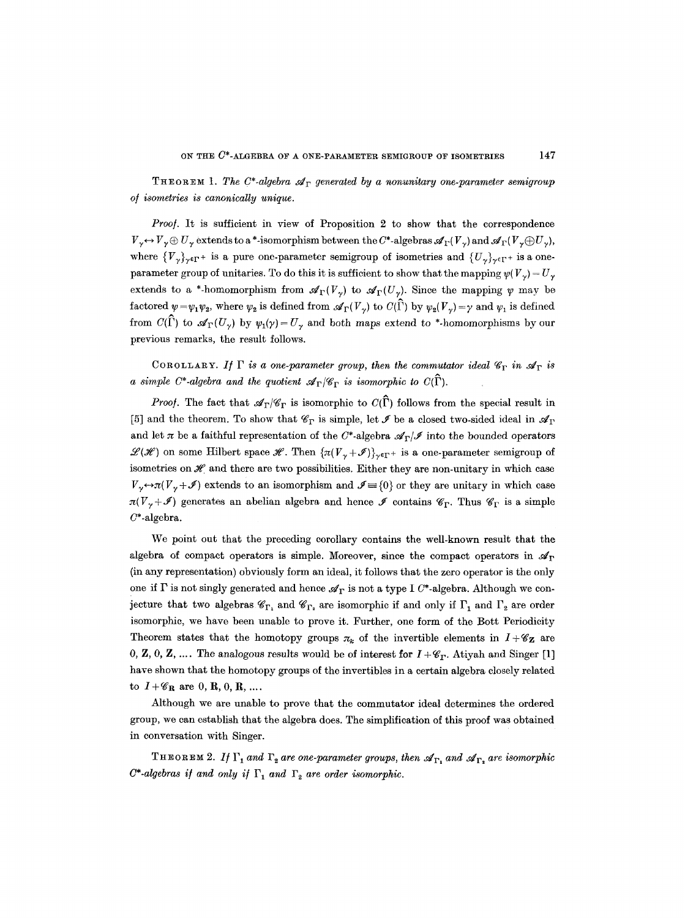THEOREM 1. The C<sup>\*</sup>-algebra  $\mathcal{A}_{\Gamma}$  generated by a nonunitary one-parameter semigroup *o/isometries is canonically unique.* 

*Proof.* It is sufficient in view of Proposition 2 to show that the correspondence  $V_{\gamma} \leftrightarrow V_{\gamma} \oplus U_{\gamma}$  extends to a\*-isomorphism between the C\*-algebras  $\mathscr{A}_{\Gamma}(V_{\gamma})$  and  $\mathscr{A}_{\Gamma}(V_{\gamma} \oplus U_{\gamma})$ , where  ${V_{\gamma}}_{\gamma\in\Gamma^+}$  is a pure one-parameter semigroup of isometries and  ${U_{\gamma}}_{\gamma\in\Gamma^+}$  is a oneparameter group of unitaries. To do this it is sufficient to show that the mapping  $\psi(V_{\gamma}) = U_{\gamma}$ extends to a \*-homomorphism from  $\mathcal{A}_{\Gamma}(V_{\gamma})$  to  $\mathcal{A}_{\Gamma}(U_{\gamma})$ . Since the mapping  $\psi$  may be factored  $\psi = \psi_1 \psi_2$ , where  $\psi_2$  is defined from  $\mathscr{A}_{\Gamma}(V_{\gamma})$  to  $C(\widehat{\Gamma})$  by  $\psi_2(V_{\gamma}) = \gamma$  and  $\psi_1$  is defined from  $C(\hat{\Gamma})$  to  $\mathscr{A}_{\Gamma}(U_{\gamma})$  by  $\psi_1(\gamma) = U_{\gamma}$  and both maps extend to \*-homomorphisms by our previous remarks, the result follows.

COROLLARY. If  $\Gamma$  is a one-parameter group, then the commutator ideal  $\mathscr{C}_{\Gamma}$  in  $\mathscr{A}_{\Gamma}$  is *a simple C\*-algebra and the quotient*  $\mathcal{A}_{\Gamma}/\mathcal{C}_{\Gamma}$  *is isomorphic to C(I).* 

*Proof.* The fact that  $\mathscr{A}_{\Gamma}/\mathscr{C}_{\Gamma}$  is isomorphic to  $C(\widehat{\Gamma})$  follows from the special result in [5] and the theorem. To show that  $\mathscr{C}_{\Gamma}$  is simple, let  $\mathscr{I}$  be a closed two-sided ideal in  $\mathscr{A}_{\Gamma}$ and let  $\pi$  be a faithful representation of the C\*-algebra  $\mathscr{A}_{\Gamma}/\mathscr{I}$  into the bounded operators  $\mathscr{L}(\mathscr{H})$  on some Hilbert space  $\mathscr{H}$ . Then  $\{\pi(V_{\gamma}+\mathscr{I})\}_{\gamma\in\Gamma}+$  is a one-parameter semigroup of isometries on  $\mathscr H$  and there are two possibilities. Either they are non-unitary in which case  $V_{\gamma} \rightarrow \pi(V_{\gamma} + \mathcal{I})$  extends to an isomorphism and  $\mathcal{I} \equiv \{0\}$  or they are unitary in which case  $\pi(V_\gamma+\mathcal{I})$  generates an abelian algebra and hence  $\mathcal{I}$  contains  $\mathscr{C}_{\Gamma}$ . Thus  $\mathscr{C}_{\Gamma}$  is a simple  $C^*$ -algebra.

We point out that the preceding corollary contains the well-known result that the algebra of compact operators is simple. Moreover, since the compact operators in  $\mathscr{A}_{\Gamma}$ (in any representation) obviously form an ideal, it follows that the zero operator is the only one if  $\Gamma$  is not singly generated and hence  $\mathcal{A}_{\Gamma}$  is not a type I  $C^*$ -algebra. Although we conjecture that two algebras  $\mathscr{C}_{\Gamma_1}$  and  $\mathscr{C}_{\Gamma_2}$  are isomorphic if and only if  $\Gamma_1$  and  $\Gamma_2$  are order isomorphic, we have been unable to prove it. Further, one form of the Bott Periodicity Theorem states that the homotopy groups  $\pi_k$  of the invertible elements in  $I + \mathscr{C}_{\mathbf{Z}}$  are 0, Z, 0, Z, .... The analogous results would be of interest for  $I + \mathscr{C}_{\Gamma}$ . Atiyah and Singer [1] have shown that the homotopy groups of the invertibles in a certain algebra closely related to  $I + \mathscr{C}_{\mathbf{R}}$  are 0, R, 0, R, ....

Although we are unable to prove that the commutator ideal determines the ordered group, we can establish that the algebra does. The simplification of this proof was obtained in conversation with Singer.

THEOREM 2. If  $\Gamma_1$  and  $\Gamma_2$  are one-parameter groups, then  $\mathcal{A}_{\Gamma_1}$  and  $\mathcal{A}_{\Gamma_2}$  are isomorphic  $C^*$ -algebras if and only if  $\Gamma_1$  and  $\Gamma_2$  are order isomorphic.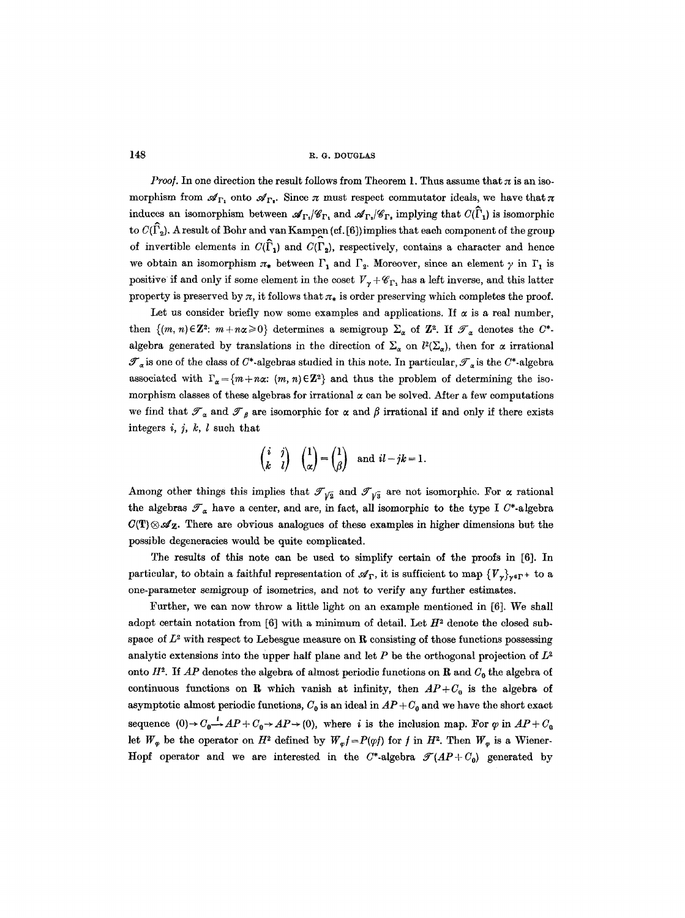*Proof.* In one direction the result follows from Theorem 1. Thus assume that  $\pi$  is an isomorphism from  $\mathscr{A}_{\Gamma_1}$  onto  $\mathscr{A}_{\Gamma_1}$ . Since  $\pi$  must respect commutator ideals, we have that  $\pi$ induces an isomorphism between  $\mathcal{A}_{\Gamma_1}/\mathcal{C}_{\Gamma_1}$  and  $\mathcal{A}_{\Gamma_2}/\mathcal{C}_{\Gamma_2}$  implying that  $C(\widehat{\Gamma}_1)$  is isomorphic to  $C(\widehat{\Gamma}_2)$ . A result of Bohr and van Kampen (cf. [6]) implies that each component of the group of invertible elements in  $C(\hat{\Gamma}_1)$  and  $C(\Gamma_2)$ , respectively, contains a character and hence we obtain an isomorphism  $\pi_*$  between  $\Gamma_1$  and  $\Gamma_2$ . Moreover, since an element  $\gamma$  in  $\Gamma_1$  is positive if and only if some element in the coset  $V_{\gamma} + \mathscr{C}_{\Gamma}$ , has a left inverse, and this latter property is preserved by  $\pi$ , it follows that  $\pi_*$  is order preserving which completes the proof.

Let us consider briefly now some examples and applications. If  $\alpha$  is a real number, then  $\{(m, n) \in \mathbb{Z}^2$ :  $m + n\alpha \geq 0\}$  determines a semigroup  $\Sigma_{\alpha}$  of  $\mathbb{Z}^2$ . If  $\mathcal{F}_{\alpha}$  denotes the  $C^*$ algebra generated by translations in the direction of  $\Sigma_{\alpha}$  on  $l^2(\Sigma_{\alpha})$ , then for  $\alpha$  irrational  $\mathscr{T}_{\alpha}$  is one of the class of C\*-algebras studied in this note. In particular,  $\mathscr{T}_{\alpha}$  is the C\*-algebra associated with  $\Gamma_{\alpha}=\{m+n\alpha\colon (m, n)\in\mathbb{Z}^2\}$  and thus the problem of determining the isomorphism classes of these algebras for irrational  $\alpha$  can be solved. After a few computations we find that  $\mathcal{T}_\alpha$  and  $\mathcal{T}_\beta$  are isomorphic for  $\alpha$  and  $\beta$  irrational if and only if there exists integers  $i, j, k, l$  such that

$$
\begin{pmatrix} i & j \\ k & l \end{pmatrix} \quad \begin{pmatrix} 1 \\ \alpha \end{pmatrix} = \begin{pmatrix} 1 \\ \beta \end{pmatrix} \text{ and } il - jk = 1.
$$

Among other things this implies that  $\mathcal{J}_{\sqrt{2}}$  and  $\mathcal{J}_{\sqrt{3}}$  are not isomorphic. For  $\alpha$  rational the algebras  $\mathcal{T}_{\alpha}$  have a center, and are, in fact, all isomorphic to the type I C\*-algebra  $C(T) \otimes \mathscr{A}_Z$ . There are obvious analogues of these examples in higher dimensions but the possible degeneracies would be quite complicated.

The results of this note can be used to simplify certain of the proofs in [6]. In particular, to obtain a faithful representation of  $\mathscr{A}_{\Gamma}$ , it is sufficient to map  $\{V_{\nu}\}_{\nu\in\Gamma}+$  to a one-parameter semigroup of isometrics, and not to verify any further estimates.

Further, we can now throw a little light on an example mentioned in [6]. We shall adopt certain notation from [6] with a minimum of detail. Let  $H^2$  denote the closed subspace of  $L^2$  with respect to Lebesgue measure on R consisting of those functions possessing analytic extensions into the upper half plane and let P be the orthogonal projection of  $L^2$ onto  $H^2$ . If AP denotes the algebra of almost periodic functions on R and  $C_0$  the algebra of continuous functions on R which vanish at infinity, then  $AP+C<sub>0</sub>$  is the algebra of asymptotic almost periodic functions,  $C_0$  is an ideal in  $AP + C_0$  and we have the short exact sequence  $(0) \rightarrow C_0 \rightarrow AP + C_0 \rightarrow AP \rightarrow (0)$ , where *i* is the inclusion map. For  $\varphi$  in  $AP+C_0$ let  $W_{\varphi}$  be the operator on  $H^2$  defined by  $W_{\varphi}f=P(\varphi f)$  for f in  $H^2$ . Then  $W_{\varphi}$  is a Wiener-Hopf operator and we are interested in the  $C^*$ -algebra  $\mathcal{T}(AP+C_0)$  generated by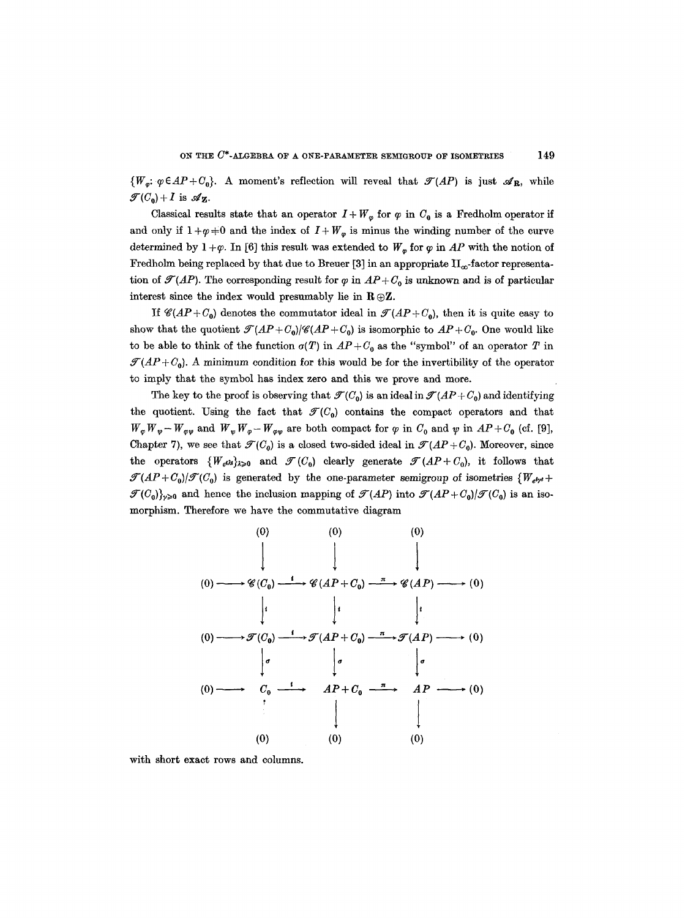$\{W_{\sigma}: \varphi \in AP + C_0\}$ . A moment's reflection will reveal that  $\mathcal{T}(AP)$  is just  $\mathcal{A}_R$ , while  $\mathcal{F}(C_0) + I$  is  $\mathcal{A}_Z$ .

Classical results state that an operator  $I + W_{\varphi}$  for  $\varphi$  in  $C_0$  is a Fredholm operator if and only if  $1 + \varphi \neq 0$  and the index of  $I + W_{\varphi}$  is minus the winding number of the curve determined by  $1 + \varphi$ . In [6] this result was extended to  $W_{\varphi}$  for  $\varphi$  in *AP* with the notion of Fredholm being replaced by that due to Breuer [3] in an appropriate  $II_{\infty}$ -factor representation of  $\mathcal{T}(AP)$ . The corresponding result for  $\varphi$  in  $AP + C_0$  is unknown and is of particular interest since the index would presumably lie in  $\mathbf{R} \oplus \mathbf{Z}$ .

If  $\mathscr{C}(AP+C_0)$  denotes the commutator ideal in  $\mathscr{T}(AP+C_0)$ , then it is quite easy to show that the quotient  $\mathcal{T}(AP+C_0)/\mathcal{C}(AP+C_0)$  is isomorphic to  $AP+C_0$ . One would like to be able to think of the function  $\sigma(T)$  in  $AP+C_0$  as the "symbol" of an operator T in  $\mathcal{T}(AP+C_0)$ . A minimum condition for this would be for the invertibility of the operator to imply that the symbol has index zero and this we prove and more.

The key to the proof is observing that  $\mathcal{T}(C_0)$  is an ideal in  $\mathcal{T}(AP+C_0)$  and identifying the quotient. Using the fact that  $\mathcal{F}(C_0)$  contains the compact operators and that  $W_{\varphi}W_{\varphi}-W_{\varphi\varphi}$  and  $W_{\varphi}W_{\varphi}-W_{\varphi\varphi}$  are both compact for  $\varphi$  in  $C_0$  and  $\psi$  in  $AP+C_0$  (cf. [9], Chapter 7), we see that  $\mathcal{T}(C_0)$  is a closed two-sided ideal in  $\mathcal{T}(AP+C_0)$ . Moreover, since the operators  $\{W_{el},\}_{\geq 0}$  and  $\mathcal{F}(C_0)$  clearly generate  $\mathcal{F}(AP+C_0)$ , it follows that  $\mathcal{T}(AP+C_0)/\mathcal{T}(C_0)$  is generated by the one-parameter semigroup of isometries  ${W_{e^i\gamma'}+}$  $\mathcal{F}(C_0)_{\nu\geqslant 0}$  and hence the inclusion mapping of  $\mathcal{F}(AP)$  into  $\mathcal{F}(AP + C_0)/\mathcal{F}(C_0)$  is an isomorphism. Therefore we have the commutative diagram

(o) **1 (o) ~ ~ (Oo)**  1' (o) -------\*~r(oo) **(o) , 00**  (o) (0) (0) 1 1 *, Cg(AP+ffo) , C#(AP) 1' 1' ' ,5(AP+Co) ,2]'(AP) f*  **, AP+v0 , AP**  1 1 (0) (0) **,. ~ (0)**  (o) ----\* (0)

with short exact rows and columns.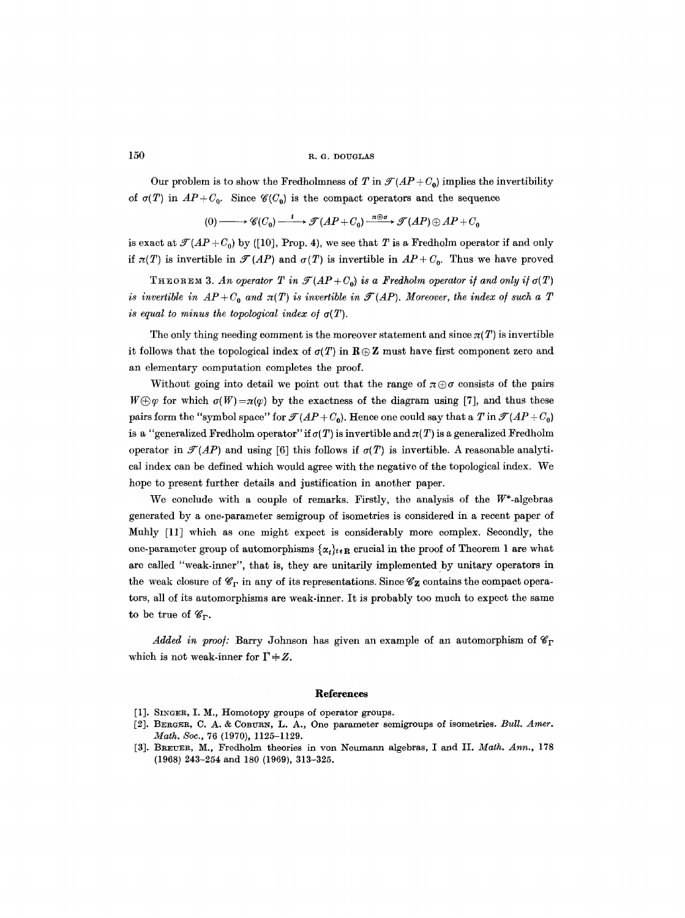Our problem is to show the Fredholmness of T in  $\mathcal{T}(AP+C_0)$  implies the invertibility of  $\sigma(T)$  in  $AP+C_0$ . Since  $\mathcal{C}(C_0)$  is the compact operators and the sequence

$$
(0) \longrightarrow {\mathscr{C}}(C_0) \xrightarrow{\iota} {\mathscr{T}}(AP+C_0) \xrightarrow{\pi \oplus \sigma} {\mathscr{T}}(AP) \oplus AP+C_0
$$

is exact at  $\mathcal{T}(AP+C_0)$  by ([10], Prop. 4), we see that T is a Fredholm operator if and only if  $\pi(T)$  is invertible in  $\mathcal{F}(AP)$  and  $\sigma(T)$  is invertible in  $AP+C_0$ . Thus we have proved

THEOREM 3. An operator T in  $\mathcal{J}(AP+C_0)$  is a Fredholm operator if and only if  $\sigma(T)$ *is invertible in*  $AP + C_0$  *and*  $\pi(T)$  *is invertible in*  $\mathcal{T}(AP)$ *. Moreover, the index of such a T is equal to minus the topological index of*  $\sigma(T)$ .

The only thing needing comment is the moreover statement and since  $\pi(T)$  is invertible it follows that the topological index of  $\sigma(T)$  in  $\mathbf{R}\oplus\mathbf{Z}$  must have first component zero and an elementary computation completes the proof.

Without going into detail we point out that the range of  $\pi \oplus \sigma$  consists of the pairs  $W \oplus \varphi$  for which  $\sigma(W) = \pi(\varphi)$  by the exactness of the diagram using [7], and thus these pairs form the "symbol space" for  $\mathcal{T}(AP+C_0)$ . Hence one could say that a T in  $\mathcal{T}(AP+C_0)$ is a "generalized Fredholm operator" if  $\sigma(T)$  is invertible and  $\pi(T)$  is a generalized Fredholm operator in  $\mathcal{T}(AP)$  and using [6] this follows if  $\sigma(T)$  is invertible. A reasonable analytical index can be defined which would agree with the negative of the topological index. We hope to present further details and justification in another paper.

We conclude with a couple of remarks. Firstly, the analysis of the  $W^*$ -algebras generated by a one-parameter semigroup of isometries is considered in a recent paper of Muhly [11] which as one might expect is considerably more complex. Secondly, the one-parameter group of automorphisms  $\{\alpha_t\}_{t\in\mathbb{R}}$  crucial in the proof of Theorem 1 are what are called "weak-inner", that is, they are unitarily implemented by unitary operators in the weak closure of  $\mathscr{C}_{\Gamma}$  in any of its representations. Since  $\mathscr{C}_{\mathbf{Z}}$  contains the compact operators, all of its automorphisms are weak-inner. It is probably too much to expect the same to be true of  $\mathscr{C}_{\Gamma}$ .

*Added in proof:* Barry Johnson has given an example of an automorphism of  $\mathscr{C}_{\Gamma}$ which is not weak-inner for  $\Gamma + Z$ .

## **References**

- [1]. SINGER, I. M., Homotopy groups of operator groups.
- [2]. BEROER, C. A. & COBURN, L. A., One parameter semigroups of isometrics. *Bull. Amer. Math. Soc.,* 76 (1970), 1125-1129.
- [3]. BREUER, M., Fredholm theories in von Neumann algebras, I and II. Math. Ann., 178 (1968) 243-254 and 180 (1969), 313-325.